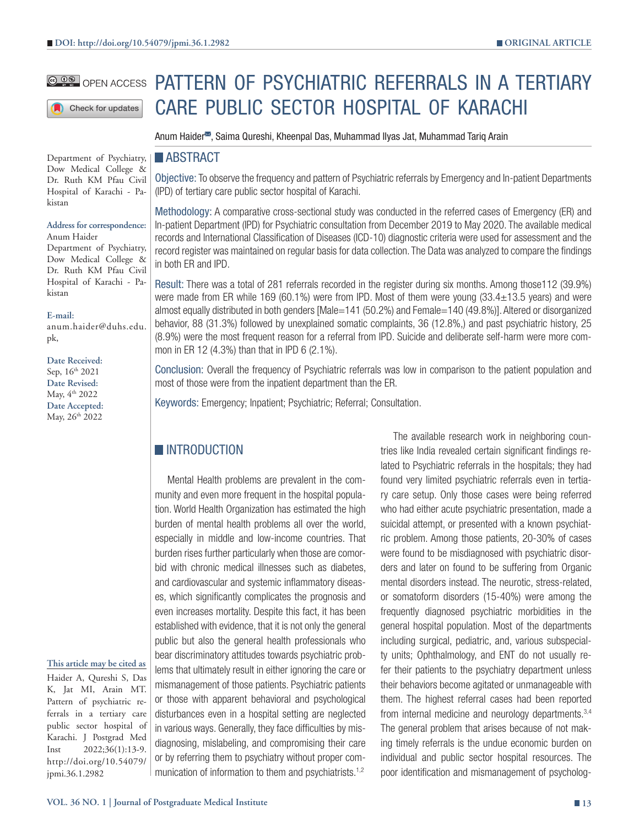Check for updates

Department of Psychiatry, Dow Medical College & Dr. Ruth KM Pfau Civil Hospital of Karachi - Pakistan

#### **Address for correspondence:** Anum Haider

Department of Psychiatry, Dow Medical College & Dr. Ruth KM Pfau Civil Hospital of Karachi - Pakistan

#### **E-mail:**

anum.haider@duhs.edu. pk,

**Date Received:** Sep,  $16^{\text{th}}$  2021 **Date Revised:** May, 4th 2022 **Date Accepted:** May, 26<sup>th</sup> 2022

#### **This article may be cited as**

Haider A, Qureshi S, Das K, Jat MI, Arain MT. Pattern of psychiatric referrals in a tertiary care public sector hospital of Karachi. J Postgrad Med Inst 2022;36(1):13-9. http://doi.org/10.54079/ jpmi.36.1.2982

# **COO OPEN ACCESS PATTERN OF PSYCHIATRIC REFERRALS IN A TERTIARY** CARE PUBLIC SECTOR HOSPITAL OF KARACHI

Anum Haider<sup>38</sup>, Saima Qureshi, Kheenpal Das, Muhammad Ilyas Jat, Muhammad Tariq Arain

## **ABSTRACT**

Objective: To observe the frequency and pattern of Psychiatric referrals by Emergency and In-patient Departments (IPD) of tertiary care public sector hospital of Karachi.

Methodology: A comparative cross-sectional study was conducted in the referred cases of Emergency (ER) and In-patient Department (IPD) for Psychiatric consultation from December 2019 to May 2020. The available medical records and International Classification of Diseases (ICD-10) diagnostic criteria were used for assessment and the record register was maintained on regular basis for data collection. The Data was analyzed to compare the findings in both ER and IPD.

Result: There was a total of 281 referrals recorded in the register during six months. Among those112 (39.9%) were made from ER while 169 (60.1%) were from IPD. Most of them were young (33.4±13.5 years) and were almost equally distributed in both genders [Male=141 (50.2%) and Female=140 (49.8%)]. Altered or disorganized behavior, 88 (31.3%) followed by unexplained somatic complaints, 36 (12.8%,) and past psychiatric history, 25 (8.9%) were the most frequent reason for a referral from IPD. Suicide and deliberate self-harm were more common in ER 12 (4.3%) than that in IPD 6 (2.1%).

Conclusion: Overall the frequency of Psychiatric referrals was low in comparison to the patient population and most of those were from the inpatient department than the ER.

Keywords: Emergency; Inpatient; Psychiatric; Referral; Consultation.

# **INTRODUCTION**

Mental Health problems are prevalent in the community and even more frequent in the hospital population. World Health Organization has estimated the high burden of mental health problems all over the world, especially in middle and low-income countries. That burden rises further particularly when those are comorbid with chronic medical illnesses such as diabetes, and cardiovascular and systemic inflammatory diseases, which significantly complicates the prognosis and even increases mortality. Despite this fact, it has been established with evidence, that it is not only the general public but also the general health professionals who bear discriminatory attitudes towards psychiatric problems that ultimately result in either ignoring the care or mismanagement of those patients. Psychiatric patients or those with apparent behavioral and psychological disturbances even in a hospital setting are neglected in various ways. Generally, they face difficulties by misdiagnosing, mislabeling, and compromising their care or by referring them to psychiatry without proper communication of information to them and psychiatrists.<sup>1,2</sup>

The available research work in neighboring countries like India revealed certain significant findings related to Psychiatric referrals in the hospitals; they had found very limited psychiatric referrals even in tertiary care setup. Only those cases were being referred who had either acute psychiatric presentation, made a suicidal attempt, or presented with a known psychiatric problem. Among those patients, 20-30% of cases were found to be misdiagnosed with psychiatric disorders and later on found to be suffering from Organic mental disorders instead. The neurotic, stress-related, or somatoform disorders (15-40%) were among the frequently diagnosed psychiatric morbidities in the general hospital population. Most of the departments including surgical, pediatric, and, various subspecialty units; Ophthalmology, and ENT do not usually refer their patients to the psychiatry department unless their behaviors become agitated or unmanageable with them. The highest referral cases had been reported from internal medicine and neurology departments.3,4 The general problem that arises because of not making timely referrals is the undue economic burden on individual and public sector hospital resources. The poor identification and mismanagement of psycholog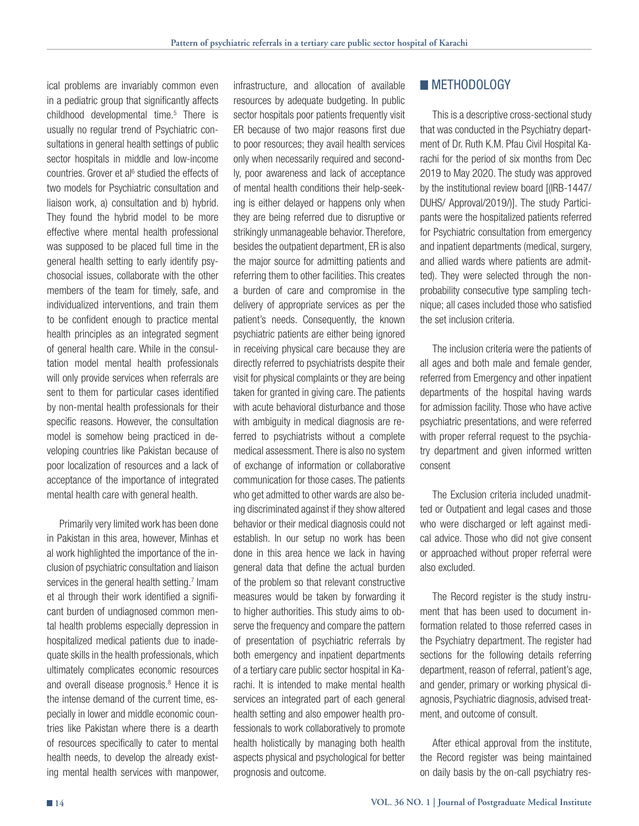ical problems are invariably common even in a pediatric group that significantly affects childhood developmental time.<sup>5</sup> There is usually no regular trend of Psychiatric consultations in general health settings of public sector hospitals in middle and low-income countries. Grover et al<sup>6</sup> studied the effects of two models for Psychiatric consultation and liaison work, a) consultation and b) hybrid. They found the hybrid model to be more effective where mental health professional was supposed to be placed full time in the general health setting to early identify psychosocial issues, collaborate with the other members of the team for timely, safe, and individualized interventions, and train them to be confident enough to practice mental health principles as an integrated segment of general health care. While in the consultation model mental health professionals will only provide services when referrals are sent to them for particular cases identified by non-mental health professionals for their specific reasons. However, the consultation model is somehow being practiced in developing countries like Pakistan because of poor localization of resources and a lack of acceptance of the importance of integrated mental health care with general health.

Primarily very limited work has been done in Pakistan in this area, however, Minhas et al work highlighted the importance of the inclusion of psychiatric consultation and liaison services in the general health setting.<sup>7</sup> Imam et al through their work identified a significant burden of undiagnosed common mental health problems especially depression in hospitalized medical patients due to inadequate skills in the health professionals, which ultimately complicates economic resources and overall disease prognosis.<sup>8</sup> Hence it is the intense demand of the current time, especially in lower and middle economic countries like Pakistan where there is a dearth of resources specifically to cater to mental health needs, to develop the already existing mental health services with manpower,

infrastructure, and allocation of available resources by adequate budgeting. In public sector hospitals poor patients frequently visit ER because of two major reasons first due to poor resources; they avail health services only when necessarily required and secondly, poor awareness and lack of acceptance of mental health conditions their help-seeking is either delayed or happens only when they are being referred due to disruptive or strikingly unmanageable behavior. Therefore, besides the outpatient department, ER is also the major source for admitting patients and referring them to other facilities. This creates a burden of care and compromise in the delivery of appropriate services as per the patient's needs. Consequently, the known psychiatric patients are either being ignored in receiving physical care because they are directly referred to psychiatrists despite their visit for physical complaints or they are being taken for granted in giving care. The patients with acute behavioral disturbance and those with ambiguity in medical diagnosis are referred to psychiatrists without a complete medical assessment. There is also no system of exchange of information or collaborative communication for those cases. The patients who get admitted to other wards are also being discriminated against if they show altered behavior or their medical diagnosis could not establish. In our setup no work has been done in this area hence we lack in having general data that define the actual burden of the problem so that relevant constructive measures would be taken by forwarding it to higher authorities. This study aims to observe the frequency and compare the pattern of presentation of psychiatric referrals by both emergency and inpatient departments of a tertiary care public sector hospital in Karachi. It is intended to make mental health services an integrated part of each general health setting and also empower health professionals to work collaboratively to promote health holistically by managing both health aspects physical and psychological for better prognosis and outcome.

# **METHODOLOGY**

This is a descriptive cross-sectional study that was conducted in the Psychiatry department of Dr. Ruth K.M. Pfau Civil Hospital Karachi for the period of six months from Dec 2019 to May 2020. The study was approved by the institutional review board [(IRB-1447/ DUHS/ Approval/2019/)]. The study Participants were the hospitalized patients referred for Psychiatric consultation from emergency and inpatient departments (medical, surgery, and allied wards where patients are admitted). They were selected through the nonprobability consecutive type sampling technique; all cases included those who satisfied the set inclusion criteria.

The inclusion criteria were the patients of all ages and both male and female gender, referred from Emergency and other inpatient departments of the hospital having wards for admission facility. Those who have active psychiatric presentations, and were referred with proper referral request to the psychiatry department and given informed written consent

The Exclusion criteria included unadmitted or Outpatient and legal cases and those who were discharged or left against medical advice. Those who did not give consent or approached without proper referral were also excluded.

The Record register is the study instrument that has been used to document information related to those referred cases in the Psychiatry department. The register had sections for the following details referring department, reason of referral, patient's age, and gender, primary or working physical diagnosis, Psychiatric diagnosis, advised treatment, and outcome of consult.

After ethical approval from the institute, the Record register was being maintained on daily basis by the on-call psychiatry res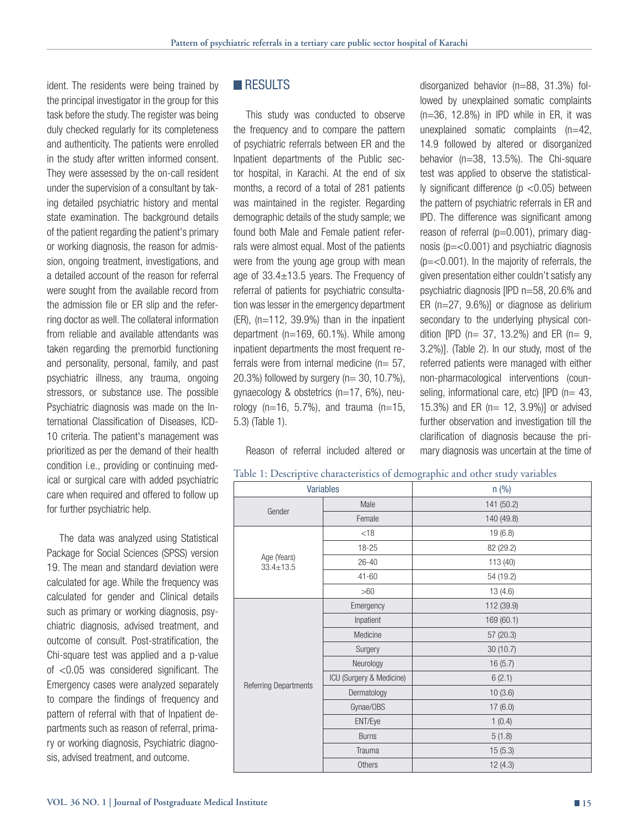ident. The residents were being trained by the principal investigator in the group for this task before the study. The register was being duly checked regularly for its completeness and authenticity. The patients were enrolled in the study after written informed consent. They were assessed by the on-call resident under the supervision of a consultant by taking detailed psychiatric history and mental state examination. The background details of the patient regarding the patient's primary or working diagnosis, the reason for admission, ongoing treatment, investigations, and a detailed account of the reason for referral were sought from the available record from the admission file or ER slip and the referring doctor as well. The collateral information from reliable and available attendants was taken regarding the premorbid functioning and personality, personal, family, and past psychiatric illness, any trauma, ongoing stressors, or substance use. The possible Psychiatric diagnosis was made on the International Classification of Diseases, ICD-10 criteria. The patient's management was prioritized as per the demand of their health condition i.e., providing or continuing medical or surgical care with added psychiatric care when required and offered to follow up for further psychiatric help.

The data was analyzed using Statistical Package for Social Sciences (SPSS) version 19. The mean and standard deviation were calculated for age. While the frequency was calculated for gender and Clinical details such as primary or working diagnosis, psychiatric diagnosis, advised treatment, and outcome of consult. Post-stratification, the Chi-square test was applied and a p-value of <0.05 was considered significant. The Emergency cases were analyzed separately to compare the findings of frequency and pattern of referral with that of Inpatient departments such as reason of referral, primary or working diagnosis, Psychiatric diagnosis, advised treatment, and outcome.

# **RESULTS**

This study was conducted to observe the frequency and to compare the pattern of psychiatric referrals between ER and the Inpatient departments of the Public sector hospital, in Karachi. At the end of six months, a record of a total of 281 patients was maintained in the register. Regarding demographic details of the study sample; we found both Male and Female patient referrals were almost equal. Most of the patients were from the young age group with mean age of 33.4±13.5 years. The Frequency of referral of patients for psychiatric consultation was lesser in the emergency department  $(ER)$ ,  $(n=112, 39.9\%)$  than in the inpatient department (n=169, 60.1%). While among inpatient departments the most frequent referrals were from internal medicine ( $n= 57$ , 20.3%) followed by surgery (n= 30, 10.7%), gynaecology & obstetrics (n=17, 6%), neurology ( $n=16$ , 5.7%), and trauma ( $n=15$ , 5.3) (Table 1).

Reason of referral included altered or

disorganized behavior (n=88, 31.3%) followed by unexplained somatic complaints  $(n=36, 12.8\%)$  in IPD while in ER, it was unexplained somatic complaints (n=42, 14.9 followed by altered or disorganized behavior (n=38, 13.5%). The Chi-square test was applied to observe the statistically significant difference (p <0.05) between the pattern of psychiatric referrals in ER and IPD. The difference was significant among reason of referral ( $p=0.001$ ), primary diagnosis (p=<0.001) and psychiatric diagnosis  $(p=<0.001)$ . In the majority of referrals, the given presentation either couldn't satisfy any psychiatric diagnosis [IPD n=58, 20.6% and ER  $(n=27, 9.6\%)$ ] or diagnose as delirium secondary to the underlying physical condition [IPD ( $n= 37$ , 13.2%) and ER ( $n= 9$ , 3.2%)]. (Table 2). In our study, most of the referred patients were managed with either non-pharmacological interventions (counseling, informational care, etc)  $[IPD (n= 43,$ 15.3%) and ER (n= 12, 3.9%)] or advised further observation and investigation till the clarification of diagnosis because the primary diagnosis was uncertain at the time of

| Variables                      |                          | n (%)      |  |  |
|--------------------------------|--------------------------|------------|--|--|
| Gender                         | Male                     | 141 (50.2) |  |  |
|                                | Female                   | 140 (49.8) |  |  |
| Age (Years)<br>$33.4 \pm 13.5$ | < 18                     | 19(6.8)    |  |  |
|                                | 18-25                    | 82 (29.2)  |  |  |
|                                | $26 - 40$                | 113 (40)   |  |  |
|                                | $41 - 60$                | 54 (19.2)  |  |  |
|                                | >60                      | 13(4.6)    |  |  |
| Referring Departments          | Emergency                | 112 (39.9) |  |  |
|                                | Inpatient                | 169 (60.1) |  |  |
|                                | Medicine                 | 57 (20.3)  |  |  |
|                                | Surgery                  | 30 (10.7)  |  |  |
|                                | Neurology                | 16(5.7)    |  |  |
|                                | ICU (Surgery & Medicine) | 6(2.1)     |  |  |
|                                | Dermatology              | 10(3.6)    |  |  |
|                                | Gynae/OBS                | 17(6.0)    |  |  |
|                                | ENT/Eye                  | 1(0.4)     |  |  |
|                                | <b>Burns</b>             | 5(1.8)     |  |  |
|                                | Trauma                   | 15(5.3)    |  |  |
|                                | Others                   | 12(4.3)    |  |  |

Table 1: Descriptive characteristics of demographic and other study variables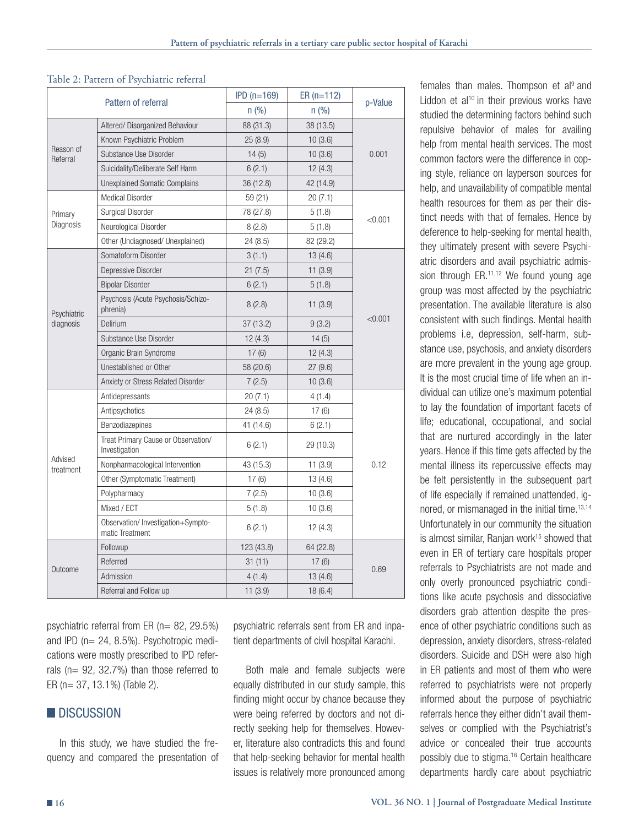### Table 2: Pattern of Psychiatric referral

| Pattern of referral      |                                                       | $IPD(n=169)$ | $ER (n=112)$ | p-Value |  |
|--------------------------|-------------------------------------------------------|--------------|--------------|---------|--|
|                          |                                                       | n (% )       | n(%)         |         |  |
| Reason of<br>Referral    | Altered/ Disorganized Behaviour                       | 88 (31.3)    | 38 (13.5)    |         |  |
|                          | Known Psychiatric Problem                             | 25(8.9)      | 10(3.6)      | 0.001   |  |
|                          | Substance Use Disorder                                | 14(5)        | 10(3.6)      |         |  |
|                          | Suicidality/Deliberate Self Harm                      | 6(2.1)       | 12(4.3)      |         |  |
|                          | <b>Unexplained Somatic Complains</b>                  | 36 (12.8)    | 42 (14.9)    |         |  |
| Primary<br>Diagnosis     | <b>Medical Disorder</b>                               | 59 (21)      | 20(7.1)      |         |  |
|                          | Surgical Disorder                                     | 78 (27.8)    | 5(1.8)       | < 0.001 |  |
|                          | Neurological Disorder                                 | 8(2.8)       | 5(1.8)       |         |  |
|                          | Other (Undiagnosed/ Unexplained)                      | 24 (8.5)     | 82 (29.2)    |         |  |
| Psychiatric<br>diagnosis | Somatoform Disorder                                   | 3(1.1)       | 13(4.6)      |         |  |
|                          | Depressive Disorder                                   | 21(7.5)      | 11(3.9)      |         |  |
|                          | <b>Bipolar Disorder</b>                               | 6(2.1)       | 5(1.8)       | < 0.001 |  |
|                          | Psychosis (Acute Psychosis/Schizo-<br>phrenia)        | 8(2.8)       | 11(3.9)      |         |  |
|                          | Delirium                                              | 37 (13.2)    | 9(3.2)       |         |  |
|                          | Substance Use Disorder                                | 12(4.3)      | 14(5)        |         |  |
|                          | Organic Brain Syndrome                                | 17(6)        | 12(4.3)      |         |  |
|                          | Unestablished or Other                                | 58 (20.6)    | 27(9.6)      |         |  |
|                          | Anxiety or Stress Related Disorder                    | 7(2.5)       | 10(3.6)      |         |  |
| Advised<br>treatment     | Antidepressants                                       | 20(7.1)      | 4(1.4)       |         |  |
|                          | Antipsychotics                                        | 24 (8.5)     | 17(6)        |         |  |
|                          | Benzodiazepines                                       | 41 (14.6)    | 6(2.1)       | 0.12    |  |
|                          | Treat Primary Cause or Observation/<br>Investigation  | 6(2.1)       | 29 (10.3)    |         |  |
|                          | Nonpharmacological Intervention                       | 43 (15.3)    | 11(3.9)      |         |  |
|                          | Other (Symptomatic Treatment)                         | 17(6)        | 13(4.6)      |         |  |
|                          | Polypharmacy                                          | 7(2.5)       | 10(3.6)      |         |  |
|                          | Mixed / ECT                                           | 5(1.8)       | 10(3.6)      |         |  |
|                          | Observation/ Investigation+Sympto-<br>matic Treatment | 6(2.1)       | 12(4.3)      |         |  |
| Outcome                  | Followup                                              | 123 (43.8)   | 64 (22.8)    | 0.69    |  |
|                          | Referred                                              | 31 (11)      | 17(6)        |         |  |
|                          | Admission                                             | 4(1.4)       | 13(4.6)      |         |  |
|                          | Referral and Follow up                                | 11(3.9)      | 18(6.4)      |         |  |

psychiatric referral from ER (n= 82, 29.5%) and IPD (n= 24, 8.5%). Psychotropic medications were mostly prescribed to IPD referrals (n= 92, 32.7%) than those referred to ER (n= 37, 13.1%) (Table 2).

# **DISCUSSION**

In this study, we have studied the frequency and compared the presentation of psychiatric referrals sent from ER and inpatient departments of civil hospital Karachi.

Both male and female subjects were equally distributed in our study sample, this finding might occur by chance because they were being referred by doctors and not directly seeking help for themselves. However, literature also contradicts this and found that help-seeking behavior for mental health issues is relatively more pronounced among females than males. Thompson et al<sup>9</sup> and Liddon et al<sup>10</sup> in their previous works have studied the determining factors behind such repulsive behavior of males for availing help from mental health services. The most common factors were the difference in coping style, reliance on layperson sources for help, and unavailability of compatible mental health resources for them as per their distinct needs with that of females. Hence by deference to help-seeking for mental health, they ultimately present with severe Psychiatric disorders and avail psychiatric admission through  $ER.^{11,12}$  We found young age group was most affected by the psychiatric presentation. The available literature is also consistent with such findings. Mental health problems i.e, depression, self-harm, substance use, psychosis, and anxiety disorders are more prevalent in the young age group. It is the most crucial time of life when an individual can utilize one's maximum potential to lay the foundation of important facets of life; educational, occupational, and social that are nurtured accordingly in the later years. Hence if this time gets affected by the mental illness its repercussive effects may be felt persistently in the subsequent part of life especially if remained unattended, ignored, or mismanaged in the initial time.<sup>13,14</sup> Unfortunately in our community the situation is almost similar, Ranjan work<sup>15</sup> showed that even in ER of tertiary care hospitals proper referrals to Psychiatrists are not made and only overly pronounced psychiatric conditions like acute psychosis and dissociative disorders grab attention despite the presence of other psychiatric conditions such as depression, anxiety disorders, stress-related disorders. Suicide and DSH were also high in ER patients and most of them who were referred to psychiatrists were not properly informed about the purpose of psychiatric referrals hence they either didn't avail themselves or complied with the Psychiatrist's advice or concealed their true accounts possibly due to stigma.16 Certain healthcare departments hardly care about psychiatric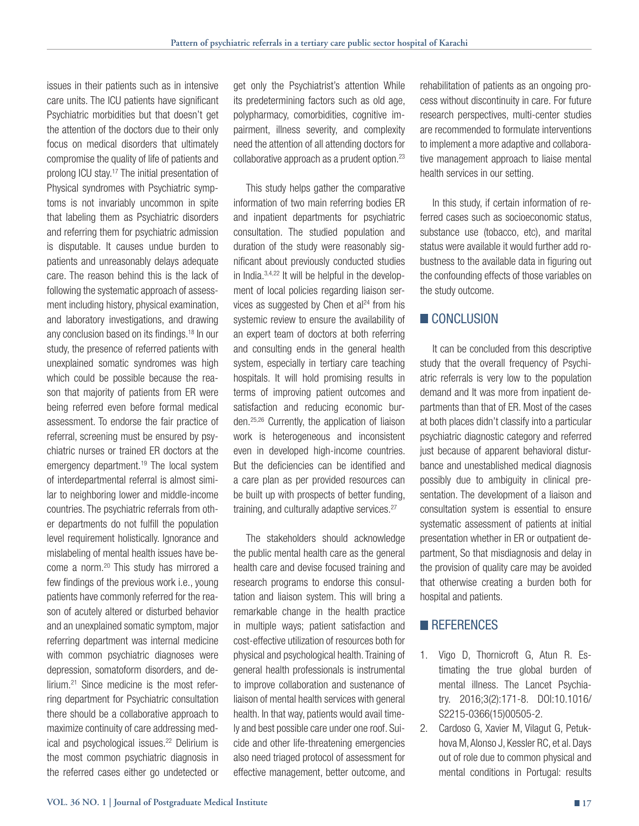issues in their patients such as in intensive care units. The ICU patients have significant Psychiatric morbidities but that doesn't get the attention of the doctors due to their only focus on medical disorders that ultimately compromise the quality of life of patients and prolong ICU stay.17 The initial presentation of Physical syndromes with Psychiatric symptoms is not invariably uncommon in spite that labeling them as Psychiatric disorders and referring them for psychiatric admission is disputable. It causes undue burden to patients and unreasonably delays adequate care. The reason behind this is the lack of following the systematic approach of assessment including history, physical examination, and laboratory investigations, and drawing any conclusion based on its findings.18 In our study, the presence of referred patients with unexplained somatic syndromes was high which could be possible because the reason that majority of patients from ER were being referred even before formal medical assessment. To endorse the fair practice of referral, screening must be ensured by psychiatric nurses or trained ER doctors at the emergency department.<sup>19</sup> The local system of interdepartmental referral is almost similar to neighboring lower and middle-income countries. The psychiatric referrals from other departments do not fulfill the population level requirement holistically. Ignorance and mislabeling of mental health issues have become a norm.<sup>20</sup> This study has mirrored a few findings of the previous work i.e., young patients have commonly referred for the reason of acutely altered or disturbed behavior and an unexplained somatic symptom, major referring department was internal medicine with common psychiatric diagnoses were depression, somatoform disorders, and delirium.<sup>21</sup> Since medicine is the most referring department for Psychiatric consultation there should be a collaborative approach to maximize continuity of care addressing medical and psychological issues.<sup>22</sup> Delirium is the most common psychiatric diagnosis in the referred cases either go undetected or get only the Psychiatrist's attention While its predetermining factors such as old age, polypharmacy, comorbidities, cognitive impairment, illness severity, and complexity need the attention of all attending doctors for collaborative approach as a prudent option.23

This study helps gather the comparative information of two main referring bodies ER and inpatient departments for psychiatric consultation. The studied population and duration of the study were reasonably significant about previously conducted studies in India.3,4,22 It will be helpful in the development of local policies regarding liaison services as suggested by Chen et  $al<sup>24</sup>$  from his systemic review to ensure the availability of an expert team of doctors at both referring and consulting ends in the general health system, especially in tertiary care teaching hospitals. It will hold promising results in terms of improving patient outcomes and satisfaction and reducing economic burden.25,26 Currently, the application of liaison work is heterogeneous and inconsistent even in developed high-income countries. But the deficiencies can be identified and a care plan as per provided resources can be built up with prospects of better funding, training, and culturally adaptive services.<sup>27</sup>

The stakeholders should acknowledge the public mental health care as the general health care and devise focused training and research programs to endorse this consultation and liaison system. This will bring a remarkable change in the health practice in multiple ways; patient satisfaction and cost-effective utilization of resources both for physical and psychological health. Training of general health professionals is instrumental to improve collaboration and sustenance of liaison of mental health services with general health. In that way, patients would avail timely and best possible care under one roof. Suicide and other life-threatening emergencies also need triaged protocol of assessment for effective management, better outcome, and rehabilitation of patients as an ongoing process without discontinuity in care. For future research perspectives, multi-center studies are recommended to formulate interventions to implement a more adaptive and collaborative management approach to liaise mental health services in our setting.

In this study, if certain information of referred cases such as socioeconomic status, substance use (tobacco, etc), and marital status were available it would further add robustness to the available data in figuring out the confounding effects of those variables on the study outcome.

# **CONCLUSION**

It can be concluded from this descriptive study that the overall frequency of Psychiatric referrals is very low to the population demand and It was more from inpatient departments than that of ER. Most of the cases at both places didn't classify into a particular psychiatric diagnostic category and referred just because of apparent behavioral disturbance and unestablished medical diagnosis possibly due to ambiguity in clinical presentation. The development of a liaison and consultation system is essential to ensure systematic assessment of patients at initial presentation whether in ER or outpatient department, So that misdiagnosis and delay in the provision of quality care may be avoided that otherwise creating a burden both for hospital and patients.

# **REFERENCES**

- 1. Vigo D, Thornicroft G, Atun R. Estimating the true global burden of mental illness. The Lancet Psychiatry. 2016;3(2):171-8. DOI:10.1016/ S2215-0366(15)00505-2.
- 2. Cardoso G, Xavier M, Vilagut G, Petukhova M, Alonso J, Kessler RC, et al. Days out of role due to common physical and mental conditions in Portugal: results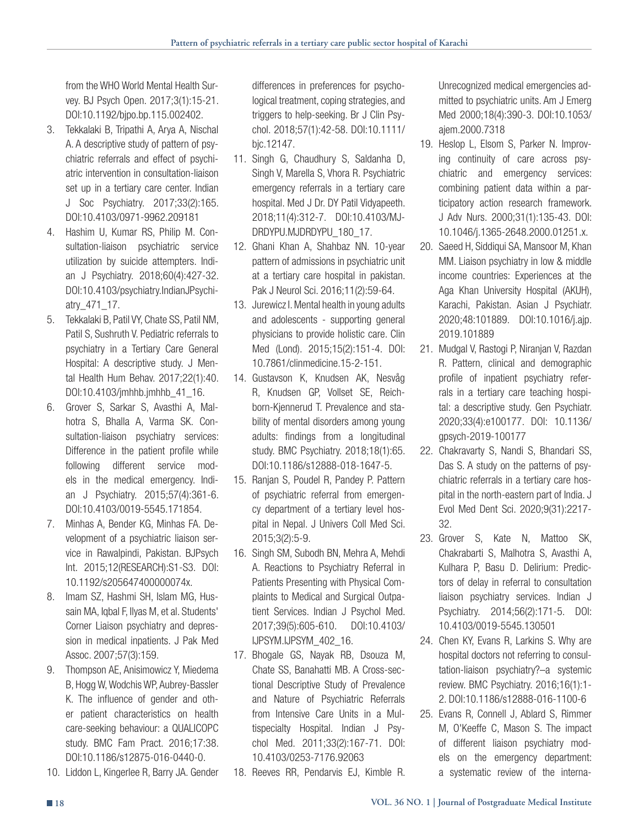from the WHO World Mental Health Survey. BJ Psych Open. 2017;3(1):15-21. DOI:10.1192/bjpo.bp.115.002402.

- 3. Tekkalaki B, Tripathi A, Arya A, Nischal A. A descriptive study of pattern of psychiatric referrals and effect of psychiatric intervention in consultation-liaison set up in a tertiary care center. Indian J Soc Psychiatry. 2017;33(2):165. DOI:10.4103/0971-9962.209181
- 4. Hashim U, Kumar RS, Philip M. Consultation-liaison psychiatric service utilization by suicide attempters. Indian J Psychiatry. 2018;60(4):427-32. DOI:10.4103/psychiatry.IndianJPsychiatry\_471\_17.
- 5. Tekkalaki B, Patil VY, Chate SS, Patil NM, Patil S, Sushruth V. Pediatric referrals to psychiatry in a Tertiary Care General Hospital: A descriptive study. J Mental Health Hum Behav. 2017;22(1):40. DOI:10.4103/jmhhb.jmhhb\_41\_16.
- 6. Grover S, Sarkar S, Avasthi A, Malhotra S, Bhalla A, Varma SK. Consultation-liaison psychiatry services: Difference in the patient profile while following different service models in the medical emergency. Indian J Psychiatry. 2015;57(4):361-6. DOI:10.4103/0019-5545.171854.
- 7. Minhas A, Bender KG, Minhas FA. Development of a psychiatric liaison service in Rawalpindi, Pakistan. BJPsych Int. 2015;12(RESEARCH):S1-S3. DOI: 10.1192/s205647400000074x.
- 8. Imam SZ, Hashmi SH, Islam MG, Hussain MA, Iqbal F, Ilyas M, et al. Students' Corner Liaison psychiatry and depression in medical inpatients. J Pak Med Assoc. 2007;57(3):159.
- 9. Thompson AE, Anisimowicz Y, Miedema B, Hogg W, Wodchis WP, Aubrey-Bassler K. The influence of gender and other patient characteristics on health care-seeking behaviour: a QUALICOPC study. BMC Fam Pract. 2016;17:38. DOI:10.1186/s12875-016-0440-0.
- 10. Liddon L, Kingerlee R, Barry JA. Gender

differences in preferences for psychological treatment, coping strategies, and triggers to help-seeking. Br J Clin Psychol. 2018;57(1):42-58. DOI:10.1111/ bjc.12147.

- 11. Singh G, Chaudhury S, Saldanha D, Singh V, Marella S, Vhora R. Psychiatric emergency referrals in a tertiary care hospital. Med J Dr. DY Patil Vidyapeeth. 2018;11(4):312-7. DOI:10.4103/MJ-DRDYPU.MJDRDYPU\_180\_17.
- 12. Ghani Khan A, Shahbaz NN. 10-year pattern of admissions in psychiatric unit at a tertiary care hospital in pakistan. Pak J Neurol Sci. 2016;11(2):59-64.
- 13. Jurewicz I. Mental health in young adults and adolescents - supporting general physicians to provide holistic care. Clin Med (Lond). 2015;15(2):151-4. DOI: 10.7861/clinmedicine.15-2-151.
- 14. Gustavson K, Knudsen AK, Nesvåg R, Knudsen GP, Vollset SE, Reichborn-Kjennerud T. Prevalence and stability of mental disorders among young adults: findings from a longitudinal study. BMC Psychiatry. 2018;18(1):65. DOI:10.1186/s12888-018-1647-5.
- 15. Ranjan S, Poudel R, Pandey P. Pattern of psychiatric referral from emergency department of a tertiary level hospital in Nepal. J Univers Coll Med Sci. 2015;3(2):5-9.
- 16. Singh SM, Subodh BN, Mehra A, Mehdi A. Reactions to Psychiatry Referral in Patients Presenting with Physical Complaints to Medical and Surgical Outpatient Services. Indian J Psychol Med. 2017;39(5):605-610. DOI:10.4103/ IJPSYM.IJPSYM\_402\_16.
- 17. Bhogale GS, Nayak RB, Dsouza M, Chate SS, Banahatti MB. A Cross-sectional Descriptive Study of Prevalence and Nature of Psychiatric Referrals from Intensive Care Units in a Multispecialty Hospital. Indian J Psychol Med. 2011;33(2):167-71. DOI: 10.4103/0253-7176.92063
- 18. Reeves RR, Pendarvis EJ, Kimble R.

Unrecognized medical emergencies admitted to psychiatric units. Am J Emerg Med 2000;18(4):390-3. DOI:10.1053/ ajem.2000.7318

- 19. Heslop L, Elsom S, Parker N. Improving continuity of care across psychiatric and emergency services: combining patient data within a participatory action research framework. J Adv Nurs. 2000;31(1):135-43. DOI: 10.1046/j.1365-2648.2000.01251.x.
- 20. Saeed H, Siddiqui SA, Mansoor M, Khan MM. Liaison psychiatry in low & middle income countries: Experiences at the Aga Khan University Hospital (AKUH), Karachi, Pakistan. Asian J Psychiatr. 2020;48:101889. DOI:10.1016/j.ajp. 2019.101889
- 21. Mudgal V, Rastogi P, Niranjan V, Razdan R. Pattern, clinical and demographic profile of inpatient psychiatry referrals in a tertiary care teaching hospital: a descriptive study. Gen Psychiatr. 2020;33(4):e100177. DOI: 10.1136/ gpsych-2019-100177
- 22. Chakravarty S, Nandi S, Bhandari SS, Das S. A study on the patterns of psychiatric referrals in a tertiary care hospital in the north-eastern part of India. J Evol Med Dent Sci. 2020;9(31):2217- 32.
- 23. Grover S, Kate N, Mattoo SK, Chakrabarti S, Malhotra S, Avasthi A, Kulhara P, Basu D. Delirium: Predictors of delay in referral to consultation liaison psychiatry services. Indian J Psychiatry. 2014;56(2):171-5. DOI: 10.4103/0019-5545.130501
- 24. Chen KY, Evans R, Larkins S. Why are hospital doctors not referring to consultation-liaison psychiatry?–a systemic review. BMC Psychiatry. 2016;16(1):1- 2. DOI:10.1186/s12888-016-1100-6
- 25. Evans R, Connell J, Ablard S, Rimmer M, O'Keeffe C, Mason S. The impact of different liaison psychiatry models on the emergency department: a systematic review of the interna-